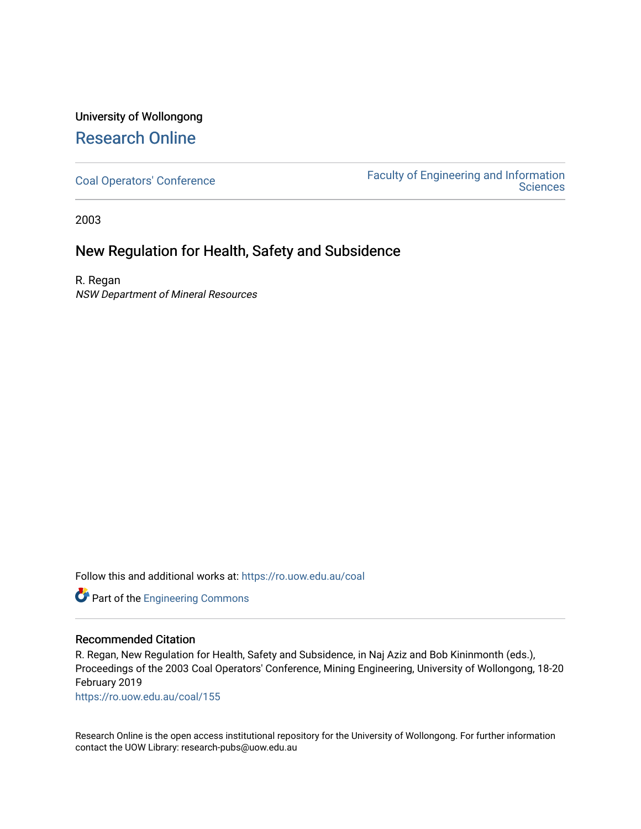## University of Wollongong [Research Online](https://ro.uow.edu.au/)

[Coal Operators' Conference](https://ro.uow.edu.au/coal) [Faculty of Engineering and Information](https://ro.uow.edu.au/eis)  **Sciences** 

2003

## New Regulation for Health, Safety and Subsidence

R. Regan NSW Department of Mineral Resources

Follow this and additional works at: [https://ro.uow.edu.au/coal](https://ro.uow.edu.au/coal?utm_source=ro.uow.edu.au%2Fcoal%2F155&utm_medium=PDF&utm_campaign=PDFCoverPages) 



#### Recommended Citation

R. Regan, New Regulation for Health, Safety and Subsidence, in Naj Aziz and Bob Kininmonth (eds.), Proceedings of the 2003 Coal Operators' Conference, Mining Engineering, University of Wollongong, 18-20 February 2019

[https://ro.uow.edu.au/coal/155](https://ro.uow.edu.au/coal/155?utm_source=ro.uow.edu.au%2Fcoal%2F155&utm_medium=PDF&utm_campaign=PDFCoverPages) 

Research Online is the open access institutional repository for the University of Wollongong. For further information contact the UOW Library: research-pubs@uow.edu.au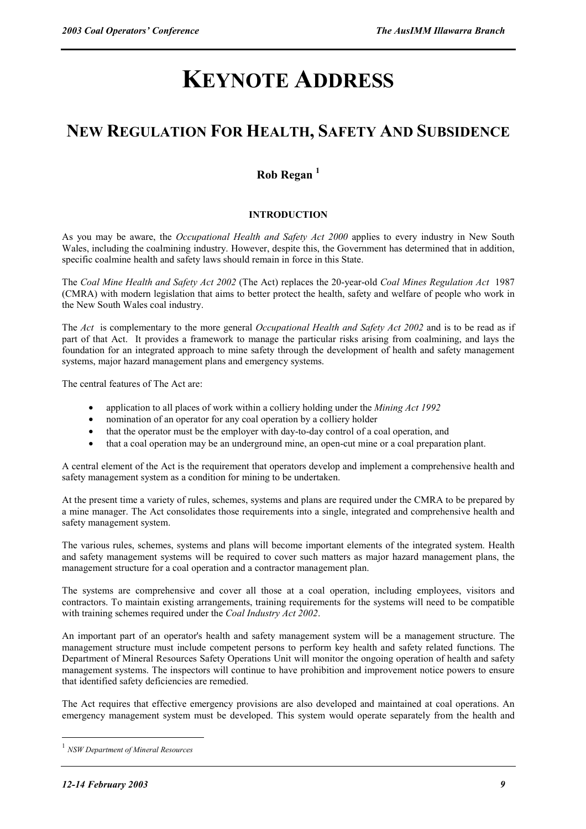# **KEYNOTE ADDRESS**

# **NEW REGULATION FOR HEALTH, SAFETY AND SUBSIDENCE**

### **Rob Regan <sup>1</sup>**

#### **INTRODUCTION**

As you may be aware, the *Occupational Health and Safety Act 2000* applies to every industry in New South Wales, including the coalmining industry. However, despite this, the Government has determined that in addition, specific coalmine health and safety laws should remain in force in this State.

The *Coal Mine Health and Safety Act 2002* (The Act) replaces the 20-year-old *Coal Mines Regulation Act* 1987 (CMRA) with modern legislation that aims to better protect the health, safety and welfare of people who work in the New South Wales coal industry.

The *Act* is complementary to the more general *Occupational Health and Safety Act 2002* and is to be read as if part of that Act. It provides a framework to manage the particular risks arising from coalmining, and lays the foundation for an integrated approach to mine safety through the development of health and safety management systems, major hazard management plans and emergency systems.

The central features of The Act are:

- application to all places of work within a colliery holding under the *Mining Act 1992*
- nomination of an operator for any coal operation by a colliery holder
- that the operator must be the employer with day-to-day control of a coal operation, and
- that a coal operation may be an underground mine, an open-cut mine or a coal preparation plant.

A central element of the Act is the requirement that operators develop and implement a comprehensive health and safety management system as a condition for mining to be undertaken.

At the present time a variety of rules, schemes, systems and plans are required under the CMRA to be prepared by a mine manager. The Act consolidates those requirements into a single, integrated and comprehensive health and safety management system.

The various rules, schemes, systems and plans will become important elements of the integrated system. Health and safety management systems will be required to cover such matters as major hazard management plans, the management structure for a coal operation and a contractor management plan.

The systems are comprehensive and cover all those at a coal operation, including employees, visitors and contractors. To maintain existing arrangements, training requirements for the systems will need to be compatible with training schemes required under the *Coal Industry Act 2002*.

An important part of an operator's health and safety management system will be a management structure. The management structure must include competent persons to perform key health and safety related functions. The Department of Mineral Resources Safety Operations Unit will monitor the ongoing operation of health and safety management systems. The inspectors will continue to have prohibition and improvement notice powers to ensure that identified safety deficiencies are remedied.

The Act requires that effective emergency provisions are also developed and maintained at coal operations. An emergency management system must be developed. This system would operate separately from the health and

 $\overline{a}$ 

<sup>1</sup> *NSW Department of Mineral Resources*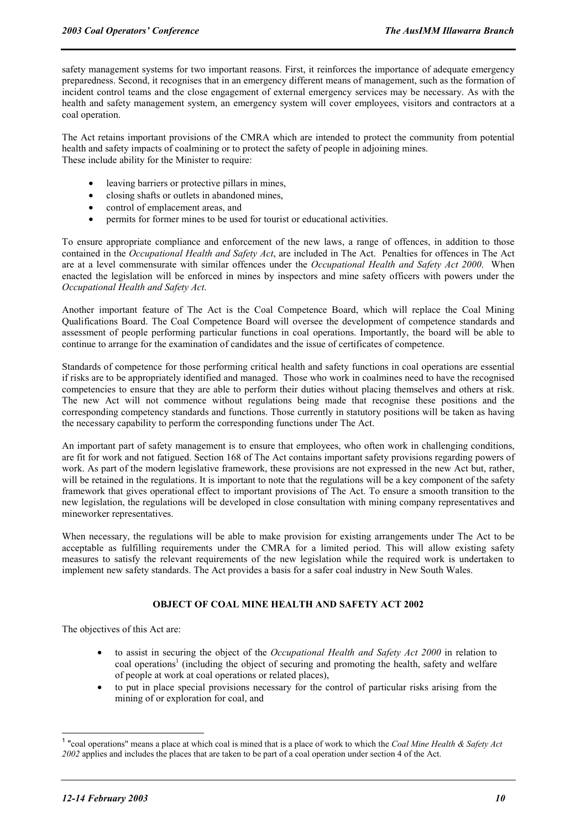safety management systems for two important reasons. First, it reinforces the importance of adequate emergency preparedness. Second, it recognises that in an emergency different means of management, such as the formation of incident control teams and the close engagement of external emergency services may be necessary. As with the health and safety management system, an emergency system will cover employees, visitors and contractors at a coal operation.

The Act retains important provisions of the CMRA which are intended to protect the community from potential health and safety impacts of coalmining or to protect the safety of people in adjoining mines. These include ability for the Minister to require:

- leaving barriers or protective pillars in mines,
- closing shafts or outlets in abandoned mines,
- control of emplacement areas, and
- permits for former mines to be used for tourist or educational activities.

To ensure appropriate compliance and enforcement of the new laws, a range of offences, in addition to those contained in the *Occupational Health and Safety Act*, are included in The Act. Penalties for offences in The Act are at a level commensurate with similar offences under the *Occupational Health and Safety Act 2000*. When enacted the legislation will be enforced in mines by inspectors and mine safety officers with powers under the *Occupational Health and Safety Act*.

Another important feature of The Act is the Coal Competence Board, which will replace the Coal Mining Qualifications Board. The Coal Competence Board will oversee the development of competence standards and assessment of people performing particular functions in coal operations. Importantly, the board will be able to continue to arrange for the examination of candidates and the issue of certificates of competence.

Standards of competence for those performing critical health and safety functions in coal operations are essential if risks are to be appropriately identified and managed. Those who work in coalmines need to have the recognised competencies to ensure that they are able to perform their duties without placing themselves and others at risk. The new Act will not commence without regulations being made that recognise these positions and the corresponding competency standards and functions. Those currently in statutory positions will be taken as having the necessary capability to perform the corresponding functions under The Act.

An important part of safety management is to ensure that employees, who often work in challenging conditions, are fit for work and not fatigued. Section 168 of The Act contains important safety provisions regarding powers of work. As part of the modern legislative framework, these provisions are not expressed in the new Act but, rather, will be retained in the regulations. It is important to note that the regulations will be a key component of the safety framework that gives operational effect to important provisions of The Act. To ensure a smooth transition to the new legislation, the regulations will be developed in close consultation with mining company representatives and mineworker representatives.

When necessary, the regulations will be able to make provision for existing arrangements under The Act to be acceptable as fulfilling requirements under the CMRA for a limited period. This will allow existing safety measures to satisfy the relevant requirements of the new legislation while the required work is undertaken to implement new safety standards. The Act provides a basis for a safer coal industry in New South Wales.

#### **OBJECT OF COAL MINE HEALTH AND SAFETY ACT 2002**

The objectives of this Act are:

- to assist in securing the object of the *Occupational Health and Safety Act 2000* in relation to coal operations<sup>1</sup> (including the object of securing and promoting the health, safety and welfare of people at work at coal operations or related places),
- to put in place special provisions necessary for the control of particular risks arising from the mining of or exploration for coal, and

 $\overline{a}$ 

<sup>1</sup> "coal operations" means a place at which coal is mined that is a place of work to which the *Coal Mine Health & Safety Act 2002* applies and includes the places that are taken to be part of a coal operation under section 4 of the Act.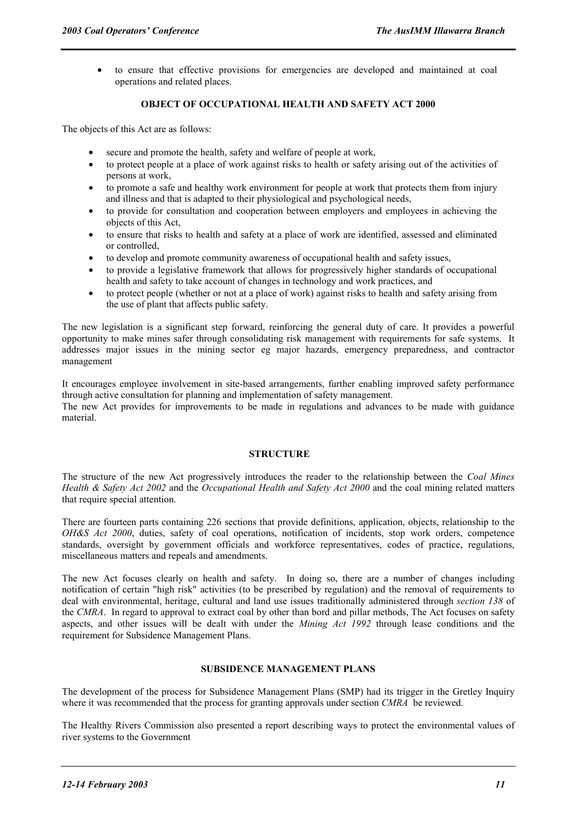• to ensure that effective provisions for emergencies are developed and maintained at coal operations and related places.

#### **OBJECT OF OCCUPATIONAL HEALTH AND SAFETY ACT 2000**

The objects of this Act are as follows:

- secure and promote the health, safety and welfare of people at work,
- to protect people at a place of work against risks to health or safety arising out of the activities of persons at work,
- to promote a safe and healthy work environment for people at work that protects them from injury and illness and that is adapted to their physiological and psychological needs,
- to provide for consultation and cooperation between employers and employees in achieving the objects of this Act,
- to ensure that risks to health and safety at a place of work are identified, assessed and eliminated or controlled,
- to develop and promote community awareness of occupational health and safety issues,
- to provide a legislative framework that allows for progressively higher standards of occupational health and safety to take account of changes in technology and work practices, and
- to protect people (whether or not at a place of work) against risks to health and safety arising from the use of plant that affects public safety.

The new legislation is a significant step forward, reinforcing the general duty of care. It provides a powerful opportunity to make mines safer through consolidating risk management with requirements for safe systems. It addresses major issues in the mining sector eg major hazards, emergency preparedness, and contractor management

It encourages employee involvement in site-based arrangements, further enabling improved safety performance through active consultation for planning and implementation of safety management. The new Act provides for improvements to be made in regulations and advances to be made with guidance material.

#### **STRUCTURE**

The structure of the new Act progressively introduces the reader to the relationship between the *Coal Mines Health & Safety Act 2002* and the *Occupational Health and Safety Act 2000* and the coal mining related matters that require special attention.

There are fourteen parts containing 226 sections that provide definitions, application, objects, relationship to the *OH&S Act 2000*, duties, safety of coal operations, notification of incidents, stop work orders, competence standards, oversight by government officials and workforce representatives, codes of practice, regulations, miscellaneous matters and repeals and amendments.

The new Act focuses clearly on health and safety. In doing so, there are a number of changes including notification of certain "high risk" activities (to be prescribed by regulation) and the removal of requirements to deal with environmental, heritage, cultural and land use issues traditionally administered through *section 138* of the *CMRA*. In regard to approval to extract coal by other than bord and pillar methods, The Act focuses on safety aspects, and other issues will be dealt with under the *Mining Act 1992* through lease conditions and the requirement for Subsidence Management Plans.

#### **SUBSIDENCE MANAGEMENT PLANS**

The development of the process for Subsidence Management Plans (SMP) had its trigger in the Gretley Inquiry where it was recommended that the process for granting approvals under section *CMRA* be reviewed.

The Healthy Rivers Commission also presented a report describing ways to protect the environmental values of river systems to the Government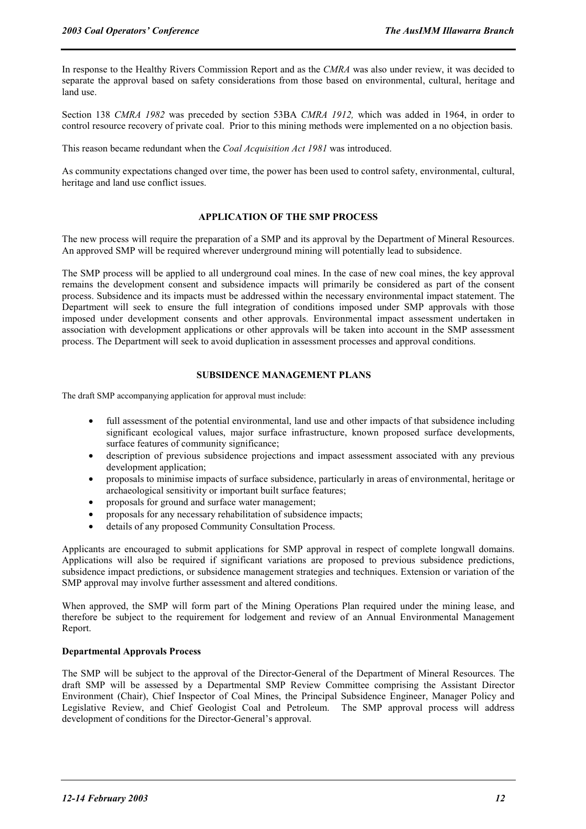In response to the Healthy Rivers Commission Report and as the *CMRA* was also under review, it was decided to separate the approval based on safety considerations from those based on environmental, cultural, heritage and land use.

Section 138 *CMRA 1982* was preceded by section 53BA *CMRA 1912,* which was added in 1964, in order to control resource recovery of private coal. Prior to this mining methods were implemented on a no objection basis.

This reason became redundant when the *Coal Acquisition Act 1981* was introduced.

As community expectations changed over time, the power has been used to control safety, environmental, cultural, heritage and land use conflict issues.

#### **APPLICATION OF THE SMP PROCESS**

The new process will require the preparation of a SMP and its approval by the Department of Mineral Resources. An approved SMP will be required wherever underground mining will potentially lead to subsidence.

The SMP process will be applied to all underground coal mines. In the case of new coal mines, the key approval remains the development consent and subsidence impacts will primarily be considered as part of the consent process. Subsidence and its impacts must be addressed within the necessary environmental impact statement. The Department will seek to ensure the full integration of conditions imposed under SMP approvals with those imposed under development consents and other approvals. Environmental impact assessment undertaken in association with development applications or other approvals will be taken into account in the SMP assessment process. The Department will seek to avoid duplication in assessment processes and approval conditions.

#### **SUBSIDENCE MANAGEMENT PLANS**

The draft SMP accompanying application for approval must include:

- full assessment of the potential environmental, land use and other impacts of that subsidence including significant ecological values, major surface infrastructure, known proposed surface developments, surface features of community significance;
- description of previous subsidence projections and impact assessment associated with any previous development application;
- proposals to minimise impacts of surface subsidence, particularly in areas of environmental, heritage or archaeological sensitivity or important built surface features;
- proposals for ground and surface water management;
- proposals for any necessary rehabilitation of subsidence impacts;
- details of any proposed Community Consultation Process.

Applicants are encouraged to submit applications for SMP approval in respect of complete longwall domains. Applications will also be required if significant variations are proposed to previous subsidence predictions, subsidence impact predictions, or subsidence management strategies and techniques. Extension or variation of the SMP approval may involve further assessment and altered conditions.

When approved, the SMP will form part of the Mining Operations Plan required under the mining lease, and therefore be subject to the requirement for lodgement and review of an Annual Environmental Management Report.

#### **Departmental Approvals Process**

The SMP will be subject to the approval of the Director-General of the Department of Mineral Resources. The draft SMP will be assessed by a Departmental SMP Review Committee comprising the Assistant Director Environment (Chair), Chief Inspector of Coal Mines, the Principal Subsidence Engineer, Manager Policy and Legislative Review, and Chief Geologist Coal and Petroleum. The SMP approval process will address development of conditions for the Director-General's approval.